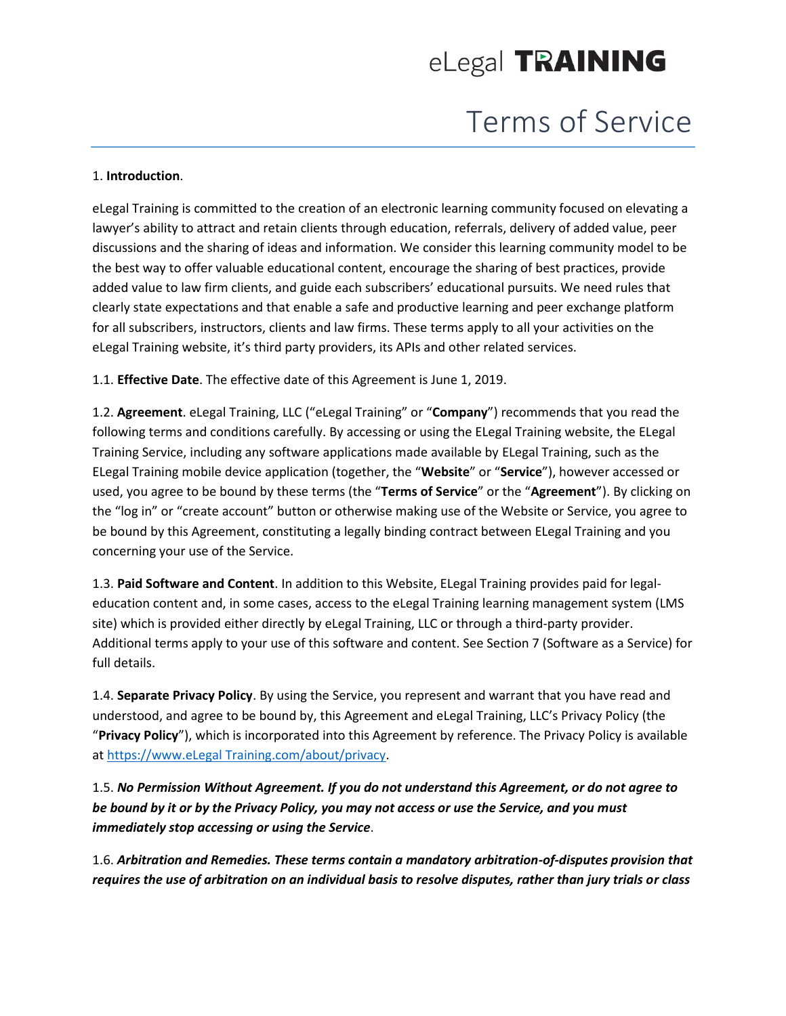# Terms of Service

#### 1. **Introduction**.

eLegal Training is committed to the creation of an electronic learning community focused on elevating a lawyer's ability to attract and retain clients through education, referrals, delivery of added value, peer discussions and the sharing of ideas and information. We consider this learning community model to be the best way to offer valuable educational content, encourage the sharing of best practices, provide added value to law firm clients, and guide each subscribers' educational pursuits. We need rules that clearly state expectations and that enable a safe and productive learning and peer exchange platform for all subscribers, instructors, clients and law firms. These terms apply to all your activities on the eLegal Training website, it's third party providers, its APIs and other related services.

1.1. **Effective Date**. The effective date of this Agreement is June 1, 2019.

1.2. **Agreement**. eLegal Training, LLC ("eLegal Training" or "**Company**") recommends that you read the following terms and conditions carefully. By accessing or using the ELegal Training website, the ELegal Training Service, including any software applications made available by ELegal Training, such as the ELegal Training mobile device application (together, the "**Website**" or "**Service**"), however accessed or used, you agree to be bound by these terms (the "**Terms of Service**" or the "**Agreement**"). By clicking on the "log in" or "create account" button or otherwise making use of the Website or Service, you agree to be bound by this Agreement, constituting a legally binding contract between ELegal Training and you concerning your use of the Service.

1.3. **Paid Software and Content**. In addition to this Website, ELegal Training provides paid for legaleducation content and, in some cases, access to the eLegal Training learning management system (LMS site) which is provided either directly by eLegal Training, LLC or through a third-party provider. Additional terms apply to your use of this software and content. See Section 7 (Software as a Service) for full details.

1.4. **Separate Privacy Policy**. By using the Service, you represent and warrant that you have read and understood, and agree to be bound by, this Agreement and eLegal Training, LLC's Privacy Policy (the "**Privacy Policy**"), which is incorporated into this Agreement by reference. The Privacy Policy is available at [https://www.eLegal Training.com/about/privacy.](https://www.quimbee.com/about/privacy)

1.5. *No Permission Without Agreement. If you do not understand this Agreement, or do not agree to be bound by it or by the Privacy Policy, you may not access or use the Service, and you must immediately stop accessing or using the Service*.

1.6. *Arbitration and Remedies. These terms contain a mandatory arbitration-of-disputes provision that requires the use of arbitration on an individual basis to resolve disputes, rather than jury trials or class*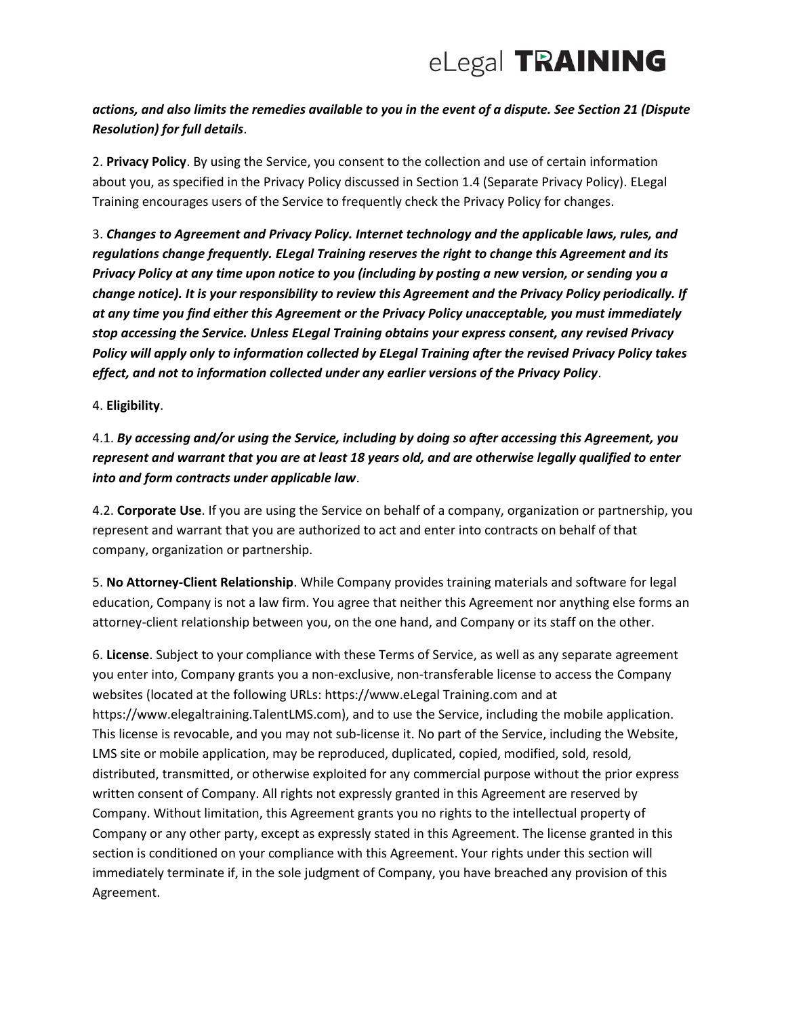## *actions, and also limits the remedies available to you in the event of a dispute. See Section 21 (Dispute Resolution) for full details*.

2. **Privacy Policy**. By using the Service, you consent to the collection and use of certain information about you, as specified in the Privacy Policy discussed in Section 1.4 (Separate Privacy Policy). ELegal Training encourages users of the Service to frequently check the Privacy Policy for changes.

3. *Changes to Agreement and Privacy Policy. Internet technology and the applicable laws, rules, and regulations change frequently. ELegal Training reserves the right to change this Agreement and its Privacy Policy at any time upon notice to you (including by posting a new version, or sending you a change notice). It is your responsibility to review this Agreement and the Privacy Policy periodically. If at any time you find either this Agreement or the Privacy Policy unacceptable, you must immediately stop accessing the Service. Unless ELegal Training obtains your express consent, any revised Privacy Policy will apply only to information collected by ELegal Training after the revised Privacy Policy takes effect, and not to information collected under any earlier versions of the Privacy Policy*.

#### 4. **Eligibility**.

4.1. *By accessing and/or using the Service, including by doing so after accessing this Agreement, you represent and warrant that you are at least 18 years old, and are otherwise legally qualified to enter into and form contracts under applicable law*.

4.2. **Corporate Use**. If you are using the Service on behalf of a company, organization or partnership, you represent and warrant that you are authorized to act and enter into contracts on behalf of that company, organization or partnership.

5. **No Attorney-Client Relationship**. While Company provides training materials and software for legal education, Company is not a law firm. You agree that neither this Agreement nor anything else forms an attorney-client relationship between you, on the one hand, and Company or its staff on the other.

6. **License**. Subject to your compliance with these Terms of Service, as well as any separate agreement you enter into, Company grants you a non-exclusive, non-transferable license to access the Company websites (located at the following URLs: https://www.eLegal Training.com and at https://www.elegaltraining.TalentLMS.com), and to use the Service, including the mobile application. This license is revocable, and you may not sub-license it. No part of the Service, including the Website, LMS site or mobile application, may be reproduced, duplicated, copied, modified, sold, resold, distributed, transmitted, or otherwise exploited for any commercial purpose without the prior express written consent of Company. All rights not expressly granted in this Agreement are reserved by Company. Without limitation, this Agreement grants you no rights to the intellectual property of Company or any other party, except as expressly stated in this Agreement. The license granted in this section is conditioned on your compliance with this Agreement. Your rights under this section will immediately terminate if, in the sole judgment of Company, you have breached any provision of this Agreement.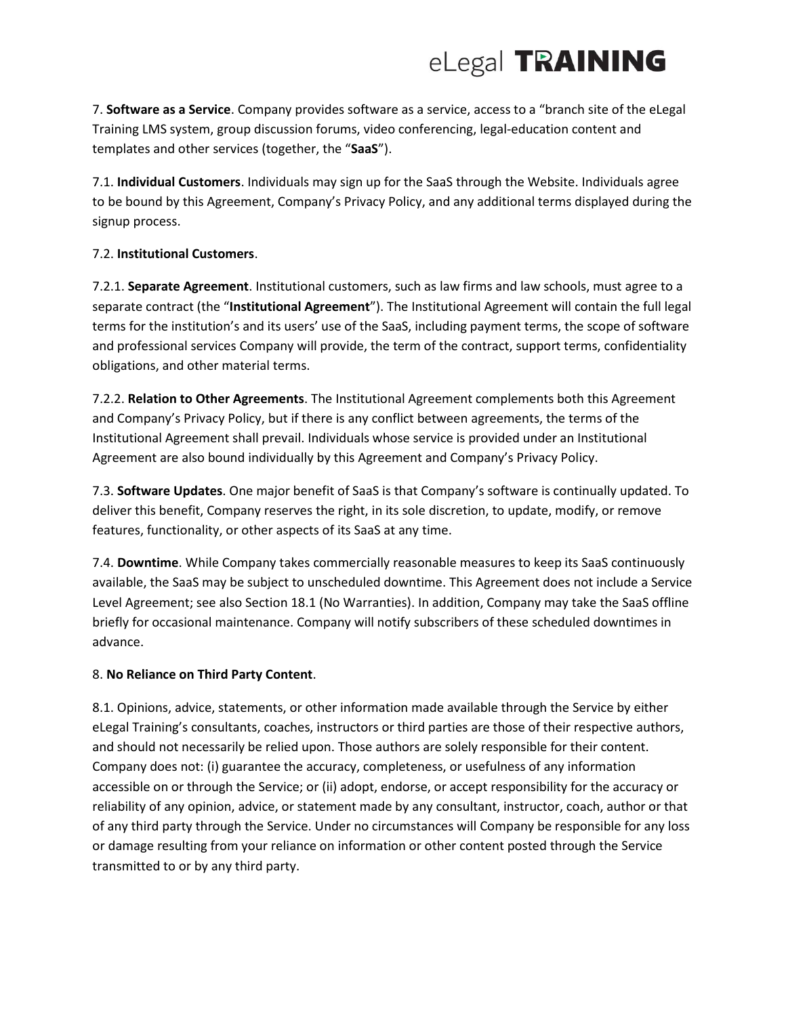7. **Software as a Service**. Company provides software as a service, access to a "branch site of the eLegal Training LMS system, group discussion forums, video conferencing, legal-education content and templates and other services (together, the "**SaaS**").

7.1. **Individual Customers**. Individuals may sign up for the SaaS through the Website. Individuals agree to be bound by this Agreement, Company's Privacy Policy, and any additional terms displayed during the signup process.

### 7.2. **Institutional Customers**.

7.2.1. **Separate Agreement**. Institutional customers, such as law firms and law schools, must agree to a separate contract (the "**Institutional Agreement**"). The Institutional Agreement will contain the full legal terms for the institution's and its users' use of the SaaS, including payment terms, the scope of software and professional services Company will provide, the term of the contract, support terms, confidentiality obligations, and other material terms.

7.2.2. **Relation to Other Agreements**. The Institutional Agreement complements both this Agreement and Company's Privacy Policy, but if there is any conflict between agreements, the terms of the Institutional Agreement shall prevail. Individuals whose service is provided under an Institutional Agreement are also bound individually by this Agreement and Company's Privacy Policy.

7.3. **Software Updates**. One major benefit of SaaS is that Company's software is continually updated. To deliver this benefit, Company reserves the right, in its sole discretion, to update, modify, or remove features, functionality, or other aspects of its SaaS at any time.

7.4. **Downtime**. While Company takes commercially reasonable measures to keep its SaaS continuously available, the SaaS may be subject to unscheduled downtime. This Agreement does not include a Service Level Agreement; see also Section 18.1 (No Warranties). In addition, Company may take the SaaS offline briefly for occasional maintenance. Company will notify subscribers of these scheduled downtimes in advance.

### 8. **No Reliance on Third Party Content**.

8.1. Opinions, advice, statements, or other information made available through the Service by either eLegal Training's consultants, coaches, instructors or third parties are those of their respective authors, and should not necessarily be relied upon. Those authors are solely responsible for their content. Company does not: (i) guarantee the accuracy, completeness, or usefulness of any information accessible on or through the Service; or (ii) adopt, endorse, or accept responsibility for the accuracy or reliability of any opinion, advice, or statement made by any consultant, instructor, coach, author or that of any third party through the Service. Under no circumstances will Company be responsible for any loss or damage resulting from your reliance on information or other content posted through the Service transmitted to or by any third party.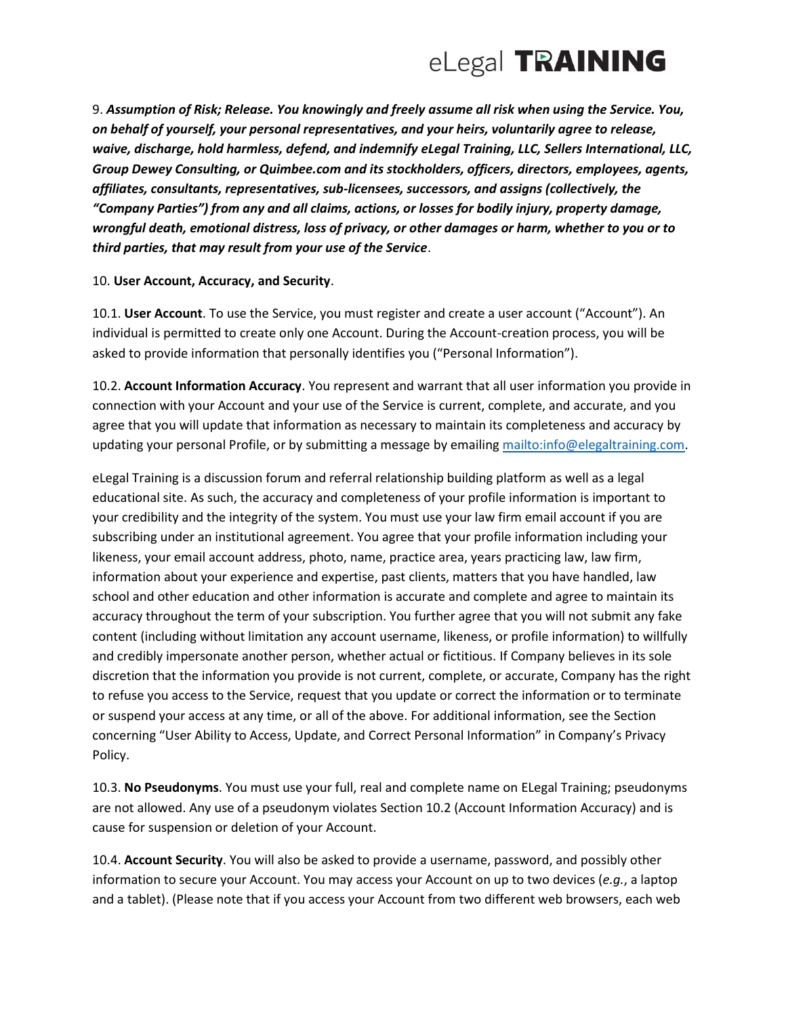

9. *Assumption of Risk; Release. You knowingly and freely assume all risk when using the Service. You, on behalf of yourself, your personal representatives, and your heirs, voluntarily agree to release, waive, discharge, hold harmless, defend, and indemnify eLegal Training, LLC, Sellers International, LLC, Group Dewey Consulting, or Quimbee.com and its stockholders, officers, directors, employees, agents, affiliates, consultants, representatives, sub-licensees, successors, and assigns (collectively, the "Company Parties") from any and all claims, actions, or losses for bodily injury, property damage, wrongful death, emotional distress, loss of privacy, or other damages or harm, whether to you or to third parties, that may result from your use of the Service*.

#### 10. **User Account, Accuracy, and Security**.

10.1. **User Account**. To use the Service, you must register and create a user account ("Account"). An individual is permitted to create only one Account. During the Account-creation process, you will be asked to provide information that personally identifies you ("Personal Information").

10.2. **Account Information Accuracy**. You represent and warrant that all user information you provide in connection with your Account and your use of the Service is current, complete, and accurate, and you agree that you will update that information as necessary to maintain its completeness and accuracy by updating your personal Profile, or by submitting a message by emailin[g mailto:info@elegaltraining.com.](mailto:info@elegaltraining.com)

eLegal Training is a discussion forum and referral relationship building platform as well as a legal educational site. As such, the accuracy and completeness of your profile information is important to your credibility and the integrity of the system. You must use your law firm email account if you are subscribing under an institutional agreement. You agree that your profile information including your likeness, your email account address, photo, name, practice area, years practicing law, law firm, information about your experience and expertise, past clients, matters that you have handled, law school and other education and other information is accurate and complete and agree to maintain its accuracy throughout the term of your subscription. You further agree that you will not submit any fake content (including without limitation any account username, likeness, or profile information) to willfully and credibly impersonate another person, whether actual or fictitious. If Company believes in its sole discretion that the information you provide is not current, complete, or accurate, Company has the right to refuse you access to the Service, request that you update or correct the information or to terminate or suspend your access at any time, or all of the above. For additional information, see the Section concerning "User Ability to Access, Update, and Correct Personal Information" in Company's Privacy Policy.

10.3. **No Pseudonyms**. You must use your full, real and complete name on ELegal Training; pseudonyms are not allowed. Any use of a pseudonym violates Section 10.2 (Account Information Accuracy) and is cause for suspension or deletion of your Account.

10.4. **Account Security**. You will also be asked to provide a username, password, and possibly other information to secure your Account. You may access your Account on up to two devices (*e.g.*, a laptop and a tablet). (Please note that if you access your Account from two different web browsers, each web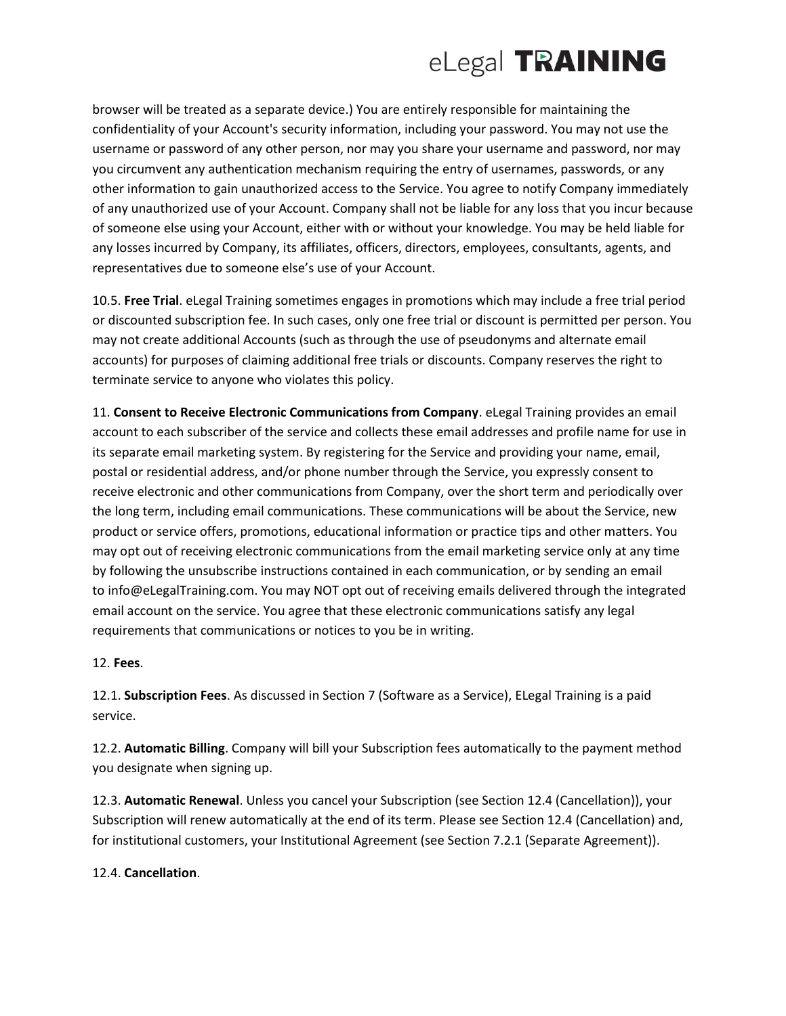browser will be treated as a separate device.) You are entirely responsible for maintaining the confidentiality of your Account's security information, including your password. You may not use the username or password of any other person, nor may you share your username and password, nor may you circumvent any authentication mechanism requiring the entry of usernames, passwords, or any other information to gain unauthorized access to the Service. You agree to notify Company immediately of any unauthorized use of your Account. Company shall not be liable for any loss that you incur because of someone else using your Account, either with or without your knowledge. You may be held liable for any losses incurred by Company, its affiliates, officers, directors, employees, consultants, agents, and representatives due to someone else's use of your Account.

10.5. **Free Trial**. eLegal Training sometimes engages in promotions which may include a free trial period or discounted subscription fee. In such cases, only one free trial or discount is permitted per person. You may not create additional Accounts (such as through the use of pseudonyms and alternate email accounts) for purposes of claiming additional free trials or discounts. Company reserves the right to terminate service to anyone who violates this policy.

11. **Consent to Receive Electronic Communications from Company**. eLegal Training provides an email account to each subscriber of the service and collects these email addresses and profile name for use in its separate email marketing system. By registering for the Service and providing your name, email, postal or residential address, and/or phone number through the Service, you expressly consent to receive electronic and other communications from Company, over the short term and periodically over the long term, including email communications. These communications will be about the Service, new product or service offers, promotions, educational information or practice tips and other matters. You may opt out of receiving electronic communications from the email marketing service only at any time by following the unsubscribe instructions contained in each communication, or by sending an email to info@eLegalTraining.com. You may NOT opt out of receiving emails delivered through the integrated email account on the service. You agree that these electronic communications satisfy any legal requirements that communications or notices to you be in writing.

12. **Fees**.

12.1. **Subscription Fees**. As discussed in Section 7 (Software as a Service), ELegal Training is a paid service.

12.2. **Automatic Billing**. Company will bill your Subscription fees automatically to the payment method you designate when signing up.

12.3. **Automatic Renewal**. Unless you cancel your Subscription (see Section 12.4 (Cancellation)), your Subscription will renew automatically at the end of its term. Please see Section 12.4 (Cancellation) and, for institutional customers, your Institutional Agreement (see Section 7.2.1 (Separate Agreement)).

12.4. **Cancellation**.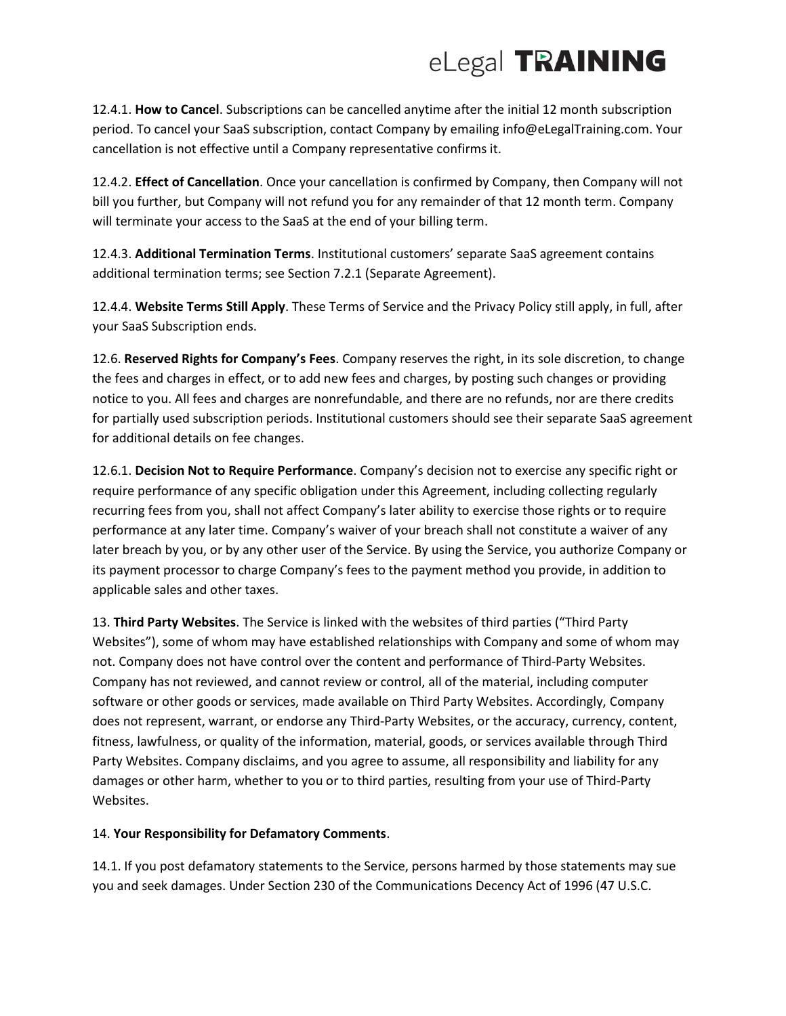12.4.1. **How to Cancel**. Subscriptions can be cancelled anytime after the initial 12 month subscription period. To cancel your SaaS subscription, contact Company by emailing info@eLegalTraining.com. Your cancellation is not effective until a Company representative confirms it.

12.4.2. **Effect of Cancellation**. Once your cancellation is confirmed by Company, then Company will not bill you further, but Company will not refund you for any remainder of that 12 month term. Company will terminate your access to the SaaS at the end of your billing term.

12.4.3. **Additional Termination Terms**. Institutional customers' separate SaaS agreement contains additional termination terms; see Section 7.2.1 (Separate Agreement).

12.4.4. **Website Terms Still Apply**. These Terms of Service and the Privacy Policy still apply, in full, after your SaaS Subscription ends.

12.6. **Reserved Rights for Company's Fees**. Company reserves the right, in its sole discretion, to change the fees and charges in effect, or to add new fees and charges, by posting such changes or providing notice to you. All fees and charges are nonrefundable, and there are no refunds, nor are there credits for partially used subscription periods. Institutional customers should see their separate SaaS agreement for additional details on fee changes.

12.6.1. **Decision Not to Require Performance**. Company's decision not to exercise any specific right or require performance of any specific obligation under this Agreement, including collecting regularly recurring fees from you, shall not affect Company's later ability to exercise those rights or to require performance at any later time. Company's waiver of your breach shall not constitute a waiver of any later breach by you, or by any other user of the Service. By using the Service, you authorize Company or its payment processor to charge Company's fees to the payment method you provide, in addition to applicable sales and other taxes.

13. **Third Party Websites**. The Service is linked with the websites of third parties ("Third Party Websites"), some of whom may have established relationships with Company and some of whom may not. Company does not have control over the content and performance of Third-Party Websites. Company has not reviewed, and cannot review or control, all of the material, including computer software or other goods or services, made available on Third Party Websites. Accordingly, Company does not represent, warrant, or endorse any Third-Party Websites, or the accuracy, currency, content, fitness, lawfulness, or quality of the information, material, goods, or services available through Third Party Websites. Company disclaims, and you agree to assume, all responsibility and liability for any damages or other harm, whether to you or to third parties, resulting from your use of Third-Party Websites.

### 14. **Your Responsibility for Defamatory Comments**.

14.1. If you post defamatory statements to the Service, persons harmed by those statements may sue you and seek damages. Under Section 230 of the Communications Decency Act of 1996 (47 U.S.C.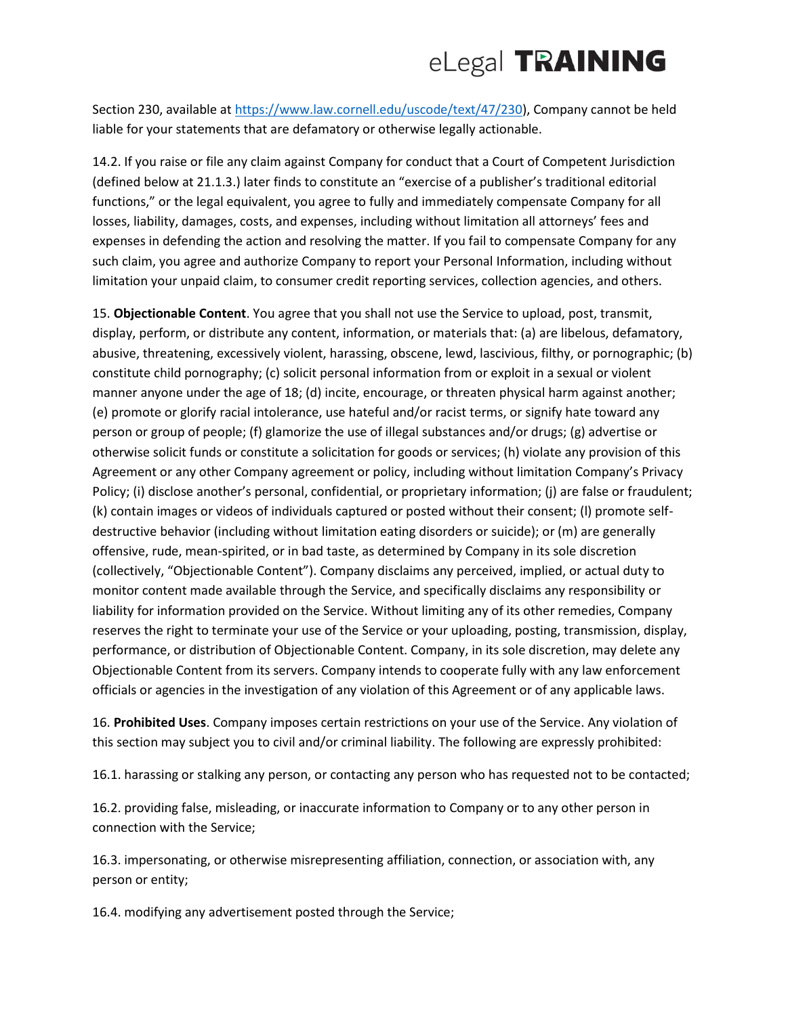Section 230, available at [https://www.law.cornell.edu/uscode/text/47/230\)](https://www.law.cornell.edu/uscode/text/47/230), Company cannot be held liable for your statements that are defamatory or otherwise legally actionable.

14.2. If you raise or file any claim against Company for conduct that a Court of Competent Jurisdiction (defined below at 21.1.3.) later finds to constitute an "exercise of a publisher's traditional editorial functions," or the legal equivalent, you agree to fully and immediately compensate Company for all losses, liability, damages, costs, and expenses, including without limitation all attorneys' fees and expenses in defending the action and resolving the matter. If you fail to compensate Company for any such claim, you agree and authorize Company to report your Personal Information, including without limitation your unpaid claim, to consumer credit reporting services, collection agencies, and others.

15. **Objectionable Content**. You agree that you shall not use the Service to upload, post, transmit, display, perform, or distribute any content, information, or materials that: (a) are libelous, defamatory, abusive, threatening, excessively violent, harassing, obscene, lewd, lascivious, filthy, or pornographic; (b) constitute child pornography; (c) solicit personal information from or exploit in a sexual or violent manner anyone under the age of 18; (d) incite, encourage, or threaten physical harm against another; (e) promote or glorify racial intolerance, use hateful and/or racist terms, or signify hate toward any person or group of people; (f) glamorize the use of illegal substances and/or drugs; (g) advertise or otherwise solicit funds or constitute a solicitation for goods or services; (h) violate any provision of this Agreement or any other Company agreement or policy, including without limitation Company's Privacy Policy; (i) disclose another's personal, confidential, or proprietary information; (j) are false or fraudulent; (k) contain images or videos of individuals captured or posted without their consent; (l) promote selfdestructive behavior (including without limitation eating disorders or suicide); or (m) are generally offensive, rude, mean-spirited, or in bad taste, as determined by Company in its sole discretion (collectively, "Objectionable Content"). Company disclaims any perceived, implied, or actual duty to monitor content made available through the Service, and specifically disclaims any responsibility or liability for information provided on the Service. Without limiting any of its other remedies, Company reserves the right to terminate your use of the Service or your uploading, posting, transmission, display, performance, or distribution of Objectionable Content. Company, in its sole discretion, may delete any Objectionable Content from its servers. Company intends to cooperate fully with any law enforcement officials or agencies in the investigation of any violation of this Agreement or of any applicable laws.

16. **Prohibited Uses**. Company imposes certain restrictions on your use of the Service. Any violation of this section may subject you to civil and/or criminal liability. The following are expressly prohibited:

16.1. harassing or stalking any person, or contacting any person who has requested not to be contacted;

16.2. providing false, misleading, or inaccurate information to Company or to any other person in connection with the Service;

16.3. impersonating, or otherwise misrepresenting affiliation, connection, or association with, any person or entity;

16.4. modifying any advertisement posted through the Service;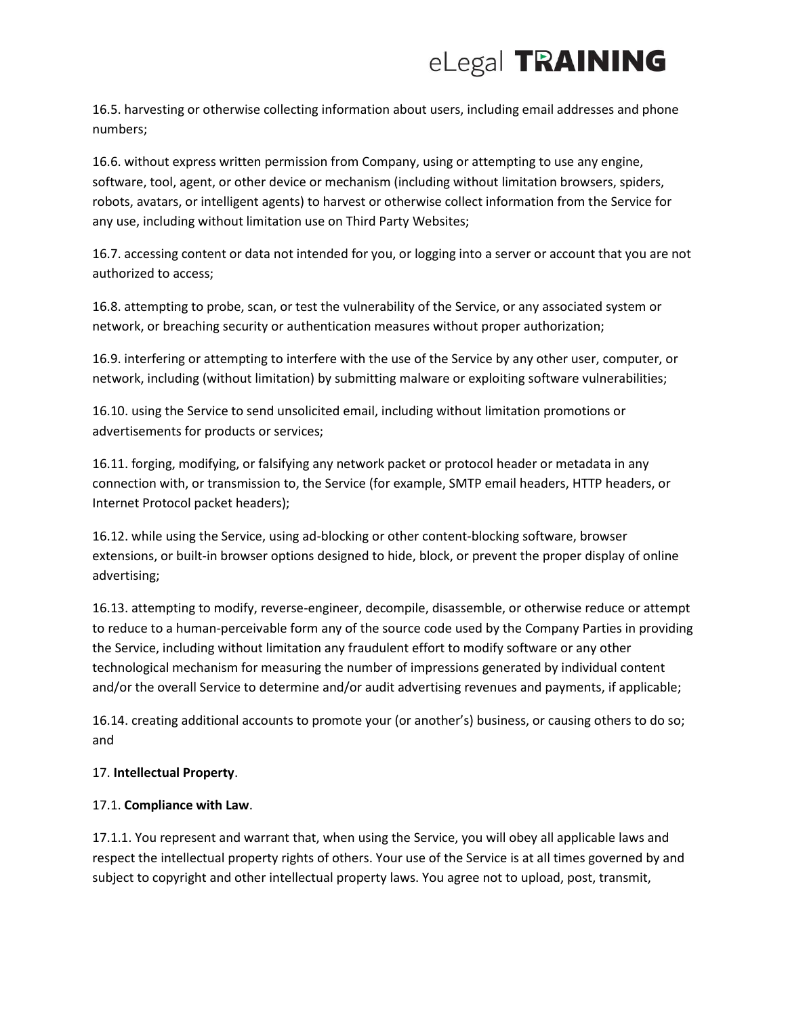16.5. harvesting or otherwise collecting information about users, including email addresses and phone numbers;

16.6. without express written permission from Company, using or attempting to use any engine, software, tool, agent, or other device or mechanism (including without limitation browsers, spiders, robots, avatars, or intelligent agents) to harvest or otherwise collect information from the Service for any use, including without limitation use on Third Party Websites;

16.7. accessing content or data not intended for you, or logging into a server or account that you are not authorized to access;

16.8. attempting to probe, scan, or test the vulnerability of the Service, or any associated system or network, or breaching security or authentication measures without proper authorization;

16.9. interfering or attempting to interfere with the use of the Service by any other user, computer, or network, including (without limitation) by submitting malware or exploiting software vulnerabilities;

16.10. using the Service to send unsolicited email, including without limitation promotions or advertisements for products or services;

16.11. forging, modifying, or falsifying any network packet or protocol header or metadata in any connection with, or transmission to, the Service (for example, SMTP email headers, HTTP headers, or Internet Protocol packet headers);

16.12. while using the Service, using ad-blocking or other content-blocking software, browser extensions, or built-in browser options designed to hide, block, or prevent the proper display of online advertising;

16.13. attempting to modify, reverse-engineer, decompile, disassemble, or otherwise reduce or attempt to reduce to a human-perceivable form any of the source code used by the Company Parties in providing the Service, including without limitation any fraudulent effort to modify software or any other technological mechanism for measuring the number of impressions generated by individual content and/or the overall Service to determine and/or audit advertising revenues and payments, if applicable;

16.14. creating additional accounts to promote your (or another's) business, or causing others to do so; and

## 17. **Intellectual Property**.

## 17.1. **Compliance with Law**.

17.1.1. You represent and warrant that, when using the Service, you will obey all applicable laws and respect the intellectual property rights of others. Your use of the Service is at all times governed by and subject to copyright and other intellectual property laws. You agree not to upload, post, transmit,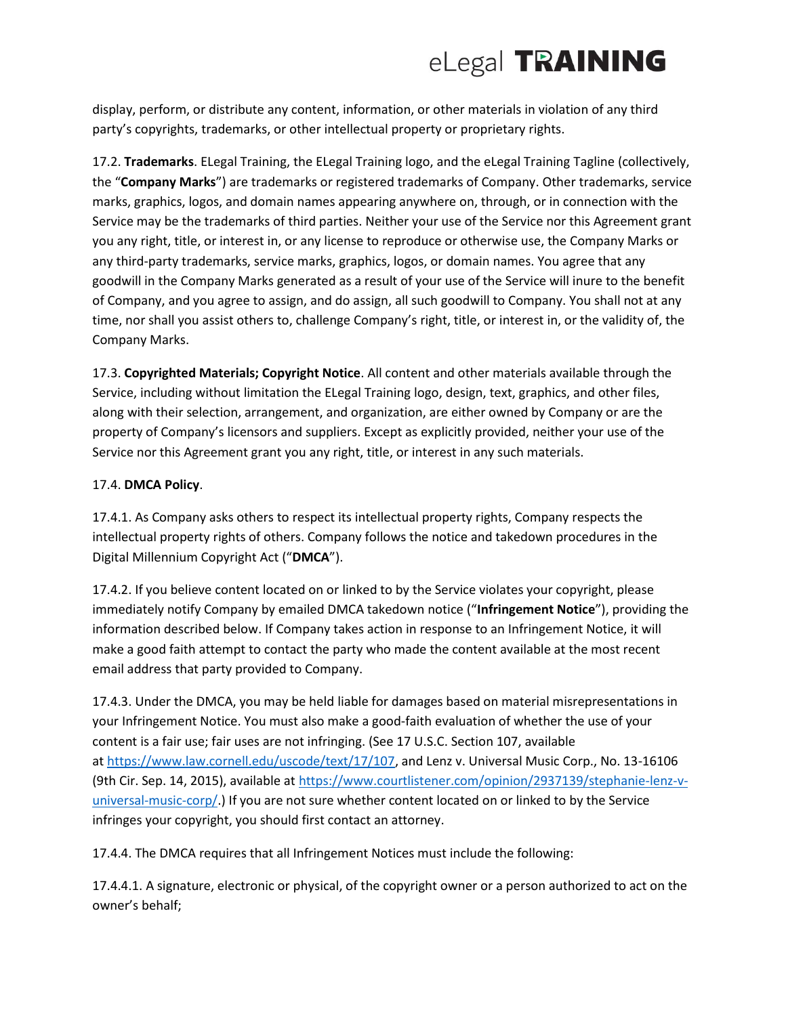display, perform, or distribute any content, information, or other materials in violation of any third party's copyrights, trademarks, or other intellectual property or proprietary rights.

17.2. **Trademarks**. ELegal Training, the ELegal Training logo, and the eLegal Training Tagline (collectively, the "**Company Marks**") are trademarks or registered trademarks of Company. Other trademarks, service marks, graphics, logos, and domain names appearing anywhere on, through, or in connection with the Service may be the trademarks of third parties. Neither your use of the Service nor this Agreement grant you any right, title, or interest in, or any license to reproduce or otherwise use, the Company Marks or any third-party trademarks, service marks, graphics, logos, or domain names. You agree that any goodwill in the Company Marks generated as a result of your use of the Service will inure to the benefit of Company, and you agree to assign, and do assign, all such goodwill to Company. You shall not at any time, nor shall you assist others to, challenge Company's right, title, or interest in, or the validity of, the Company Marks.

17.3. **Copyrighted Materials; Copyright Notice**. All content and other materials available through the Service, including without limitation the ELegal Training logo, design, text, graphics, and other files, along with their selection, arrangement, and organization, are either owned by Company or are the property of Company's licensors and suppliers. Except as explicitly provided, neither your use of the Service nor this Agreement grant you any right, title, or interest in any such materials.

### 17.4. **DMCA Policy**.

17.4.1. As Company asks others to respect its intellectual property rights, Company respects the intellectual property rights of others. Company follows the notice and takedown procedures in the Digital Millennium Copyright Act ("**DMCA**").

17.4.2. If you believe content located on or linked to by the Service violates your copyright, please immediately notify Company by emailed DMCA takedown notice ("**Infringement Notice**"), providing the information described below. If Company takes action in response to an Infringement Notice, it will make a good faith attempt to contact the party who made the content available at the most recent email address that party provided to Company.

17.4.3. Under the DMCA, you may be held liable for damages based on material misrepresentations in your Infringement Notice. You must also make a good-faith evaluation of whether the use of your content is a fair use; fair uses are not infringing. (See 17 U.S.C. Section 107, available at [https://www.law.cornell.edu/uscode/text/17/107,](https://www.law.cornell.edu/uscode/text/17/107) and Lenz v. Universal Music Corp., No. 13-16106 (9th Cir. Sep. 14, 2015), available at [https://www.courtlistener.com/opinion/2937139/stephanie-lenz-v](https://www.courtlistener.com/opinion/2937139/stephanie-lenz-v-universal-music-corp/)[universal-music-corp/.](https://www.courtlistener.com/opinion/2937139/stephanie-lenz-v-universal-music-corp/)) If you are not sure whether content located on or linked to by the Service infringes your copyright, you should first contact an attorney.

17.4.4. The DMCA requires that all Infringement Notices must include the following:

17.4.4.1. A signature, electronic or physical, of the copyright owner or a person authorized to act on the owner's behalf;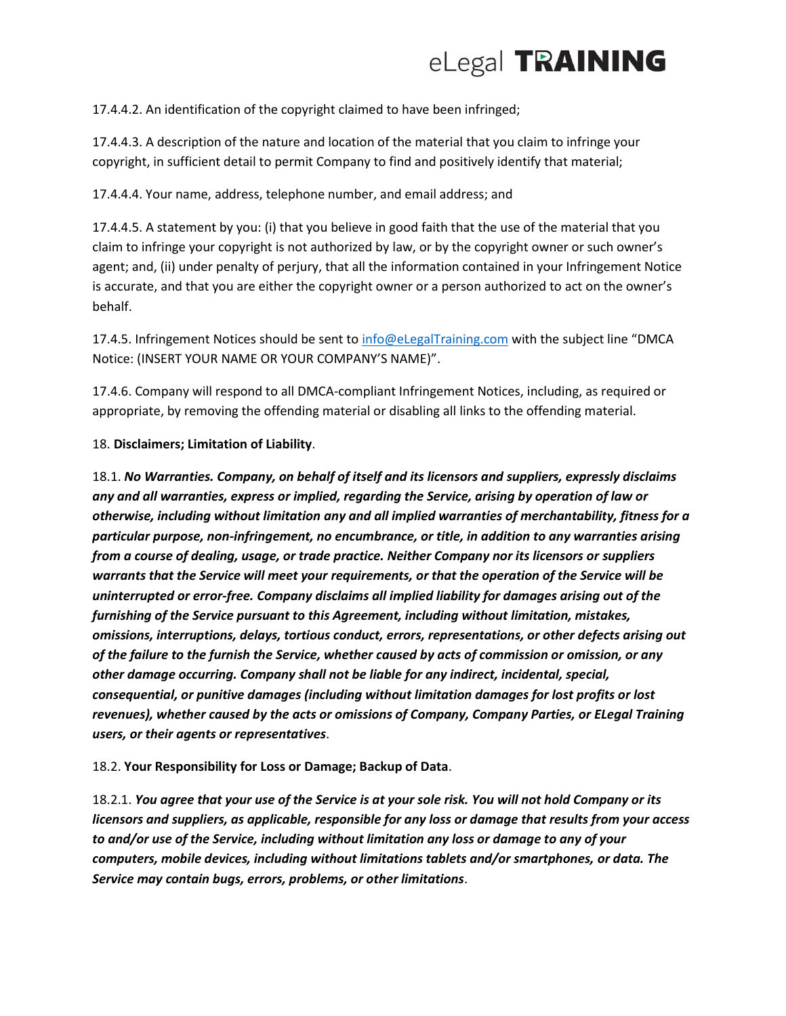

17.4.4.2. An identification of the copyright claimed to have been infringed;

17.4.4.3. A description of the nature and location of the material that you claim to infringe your copyright, in sufficient detail to permit Company to find and positively identify that material;

17.4.4.4. Your name, address, telephone number, and email address; and

17.4.4.5. A statement by you: (i) that you believe in good faith that the use of the material that you claim to infringe your copyright is not authorized by law, or by the copyright owner or such owner's agent; and, (ii) under penalty of perjury, that all the information contained in your Infringement Notice is accurate, and that you are either the copyright owner or a person authorized to act on the owner's behalf.

17.4.5. Infringement Notices should be sent to [info@eLegalTraining.com](mailto:info@eLegalTraining.com) with the subject line "DMCA Notice: (INSERT YOUR NAME OR YOUR COMPANY'S NAME)".

17.4.6. Company will respond to all DMCA-compliant Infringement Notices, including, as required or appropriate, by removing the offending material or disabling all links to the offending material.

18. **Disclaimers; Limitation of Liability**.

18.1. *No Warranties. Company, on behalf of itself and its licensors and suppliers, expressly disclaims any and all warranties, express or implied, regarding the Service, arising by operation of law or otherwise, including without limitation any and all implied warranties of merchantability, fitness for a particular purpose, non-infringement, no encumbrance, or title, in addition to any warranties arising from a course of dealing, usage, or trade practice. Neither Company nor its licensors or suppliers warrants that the Service will meet your requirements, or that the operation of the Service will be uninterrupted or error-free. Company disclaims all implied liability for damages arising out of the furnishing of the Service pursuant to this Agreement, including without limitation, mistakes, omissions, interruptions, delays, tortious conduct, errors, representations, or other defects arising out of the failure to the furnish the Service, whether caused by acts of commission or omission, or any other damage occurring. Company shall not be liable for any indirect, incidental, special, consequential, or punitive damages (including without limitation damages for lost profits or lost revenues), whether caused by the acts or omissions of Company, Company Parties, or ELegal Training users, or their agents or representatives*.

18.2. **Your Responsibility for Loss or Damage; Backup of Data**.

18.2.1. *You agree that your use of the Service is at your sole risk. You will not hold Company or its licensors and suppliers, as applicable, responsible for any loss or damage that results from your access to and/or use of the Service, including without limitation any loss or damage to any of your computers, mobile devices, including without limitations tablets and/or smartphones, or data. The Service may contain bugs, errors, problems, or other limitations*.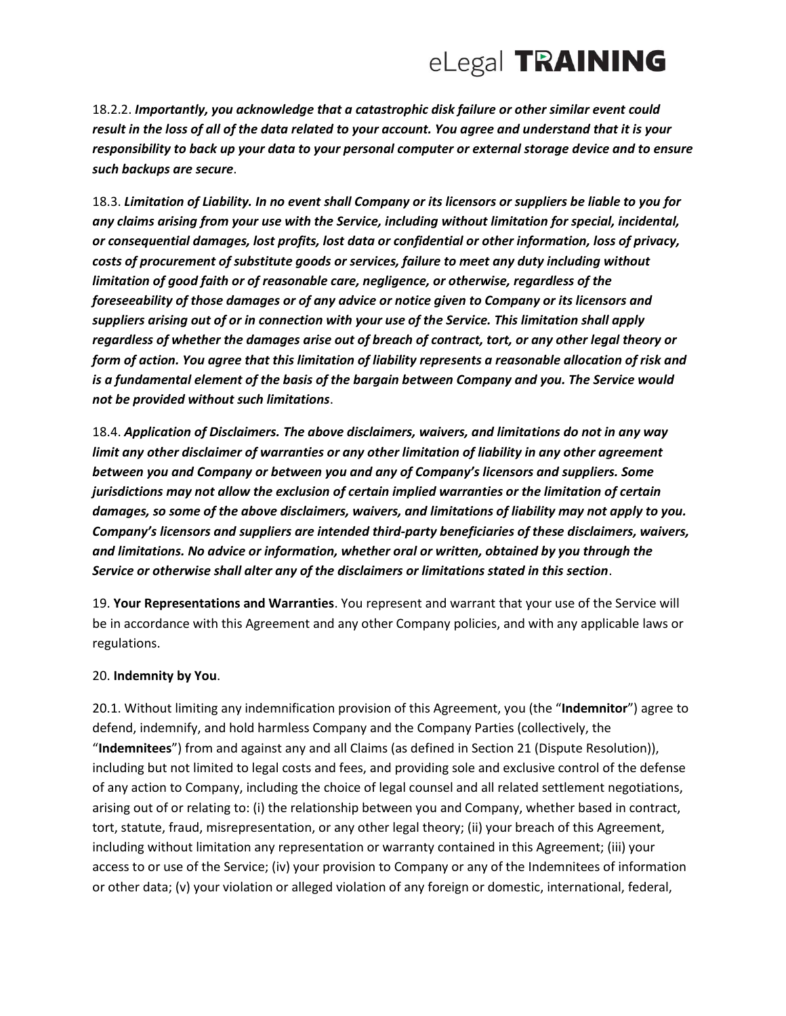18.2.2. *Importantly, you acknowledge that a catastrophic disk failure or other similar event could result in the loss of all of the data related to your account. You agree and understand that it is your responsibility to back up your data to your personal computer or external storage device and to ensure such backups are secure*.

18.3. *Limitation of Liability. In no event shall Company or its licensors or suppliers be liable to you for any claims arising from your use with the Service, including without limitation for special, incidental, or consequential damages, lost profits, lost data or confidential or other information, loss of privacy, costs of procurement of substitute goods or services, failure to meet any duty including without limitation of good faith or of reasonable care, negligence, or otherwise, regardless of the foreseeability of those damages or of any advice or notice given to Company or its licensors and suppliers arising out of or in connection with your use of the Service. This limitation shall apply regardless of whether the damages arise out of breach of contract, tort, or any other legal theory or form of action. You agree that this limitation of liability represents a reasonable allocation of risk and is a fundamental element of the basis of the bargain between Company and you. The Service would not be provided without such limitations*.

18.4. *Application of Disclaimers. The above disclaimers, waivers, and limitations do not in any way limit any other disclaimer of warranties or any other limitation of liability in any other agreement between you and Company or between you and any of Company's licensors and suppliers. Some jurisdictions may not allow the exclusion of certain implied warranties or the limitation of certain damages, so some of the above disclaimers, waivers, and limitations of liability may not apply to you. Company's licensors and suppliers are intended third-party beneficiaries of these disclaimers, waivers, and limitations. No advice or information, whether oral or written, obtained by you through the Service or otherwise shall alter any of the disclaimers or limitations stated in this section*.

19. **Your Representations and Warranties**. You represent and warrant that your use of the Service will be in accordance with this Agreement and any other Company policies, and with any applicable laws or regulations.

#### 20. **Indemnity by You**.

20.1. Without limiting any indemnification provision of this Agreement, you (the "**Indemnitor**") agree to defend, indemnify, and hold harmless Company and the Company Parties (collectively, the "**Indemnitees**") from and against any and all Claims (as defined in Section 21 (Dispute Resolution)), including but not limited to legal costs and fees, and providing sole and exclusive control of the defense of any action to Company, including the choice of legal counsel and all related settlement negotiations, arising out of or relating to: (i) the relationship between you and Company, whether based in contract, tort, statute, fraud, misrepresentation, or any other legal theory; (ii) your breach of this Agreement, including without limitation any representation or warranty contained in this Agreement; (iii) your access to or use of the Service; (iv) your provision to Company or any of the Indemnitees of information or other data; (v) your violation or alleged violation of any foreign or domestic, international, federal,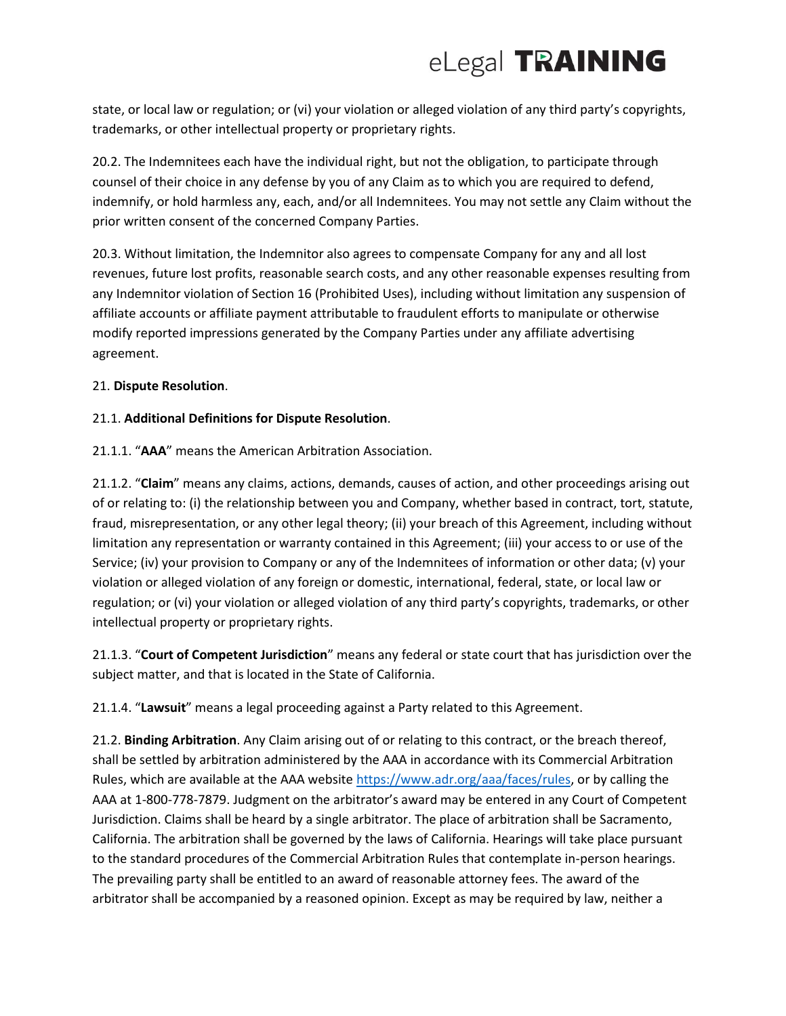state, or local law or regulation; or (vi) your violation or alleged violation of any third party's copyrights, trademarks, or other intellectual property or proprietary rights.

20.2. The Indemnitees each have the individual right, but not the obligation, to participate through counsel of their choice in any defense by you of any Claim as to which you are required to defend, indemnify, or hold harmless any, each, and/or all Indemnitees. You may not settle any Claim without the prior written consent of the concerned Company Parties.

20.3. Without limitation, the Indemnitor also agrees to compensate Company for any and all lost revenues, future lost profits, reasonable search costs, and any other reasonable expenses resulting from any Indemnitor violation of Section 16 (Prohibited Uses), including without limitation any suspension of affiliate accounts or affiliate payment attributable to fraudulent efforts to manipulate or otherwise modify reported impressions generated by the Company Parties under any affiliate advertising agreement.

### 21. **Dispute Resolution**.

### 21.1. **Additional Definitions for Dispute Resolution**.

21.1.1. "**AAA**" means the American Arbitration Association.

21.1.2. "**Claim**" means any claims, actions, demands, causes of action, and other proceedings arising out of or relating to: (i) the relationship between you and Company, whether based in contract, tort, statute, fraud, misrepresentation, or any other legal theory; (ii) your breach of this Agreement, including without limitation any representation or warranty contained in this Agreement; (iii) your access to or use of the Service; (iv) your provision to Company or any of the Indemnitees of information or other data; (v) your violation or alleged violation of any foreign or domestic, international, federal, state, or local law or regulation; or (vi) your violation or alleged violation of any third party's copyrights, trademarks, or other intellectual property or proprietary rights.

21.1.3. "**Court of Competent Jurisdiction**" means any federal or state court that has jurisdiction over the subject matter, and that is located in the State of California.

21.1.4. "**Lawsuit**" means a legal proceeding against a Party related to this Agreement.

21.2. **Binding Arbitration**. Any Claim arising out of or relating to this contract, or the breach thereof, shall be settled by arbitration administered by the AAA in accordance with its Commercial Arbitration Rules, which are available at the AAA website [https://www.adr.org/aaa/faces/rules,](https://www.adr.org/aaa/faces/rules) or by calling the AAA at 1-800-778-7879. Judgment on the arbitrator's award may be entered in any Court of Competent Jurisdiction. Claims shall be heard by a single arbitrator. The place of arbitration shall be Sacramento, California. The arbitration shall be governed by the laws of California. Hearings will take place pursuant to the standard procedures of the Commercial Arbitration Rules that contemplate in-person hearings. The prevailing party shall be entitled to an award of reasonable attorney fees. The award of the arbitrator shall be accompanied by a reasoned opinion. Except as may be required by law, neither a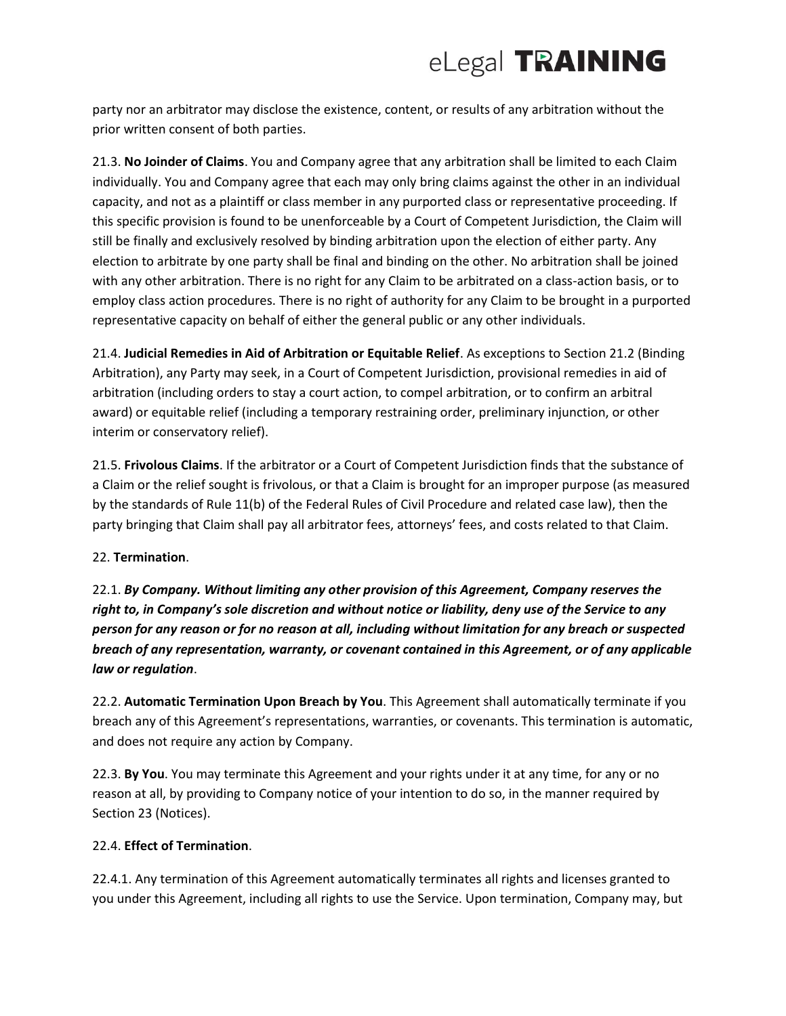party nor an arbitrator may disclose the existence, content, or results of any arbitration without the prior written consent of both parties.

21.3. **No Joinder of Claims**. You and Company agree that any arbitration shall be limited to each Claim individually. You and Company agree that each may only bring claims against the other in an individual capacity, and not as a plaintiff or class member in any purported class or representative proceeding. If this specific provision is found to be unenforceable by a Court of Competent Jurisdiction, the Claim will still be finally and exclusively resolved by binding arbitration upon the election of either party. Any election to arbitrate by one party shall be final and binding on the other. No arbitration shall be joined with any other arbitration. There is no right for any Claim to be arbitrated on a class-action basis, or to employ class action procedures. There is no right of authority for any Claim to be brought in a purported representative capacity on behalf of either the general public or any other individuals.

21.4. **Judicial Remedies in Aid of Arbitration or Equitable Relief**. As exceptions to Section 21.2 (Binding Arbitration), any Party may seek, in a Court of Competent Jurisdiction, provisional remedies in aid of arbitration (including orders to stay a court action, to compel arbitration, or to confirm an arbitral award) or equitable relief (including a temporary restraining order, preliminary injunction, or other interim or conservatory relief).

21.5. **Frivolous Claims**. If the arbitrator or a Court of Competent Jurisdiction finds that the substance of a Claim or the relief sought is frivolous, or that a Claim is brought for an improper purpose (as measured by the standards of Rule 11(b) of the Federal Rules of Civil Procedure and related case law), then the party bringing that Claim shall pay all arbitrator fees, attorneys' fees, and costs related to that Claim.

### 22. **Termination**.

22.1. *By Company. Without limiting any other provision of this Agreement, Company reserves the right to, in Company's sole discretion and without notice or liability, deny use of the Service to any person for any reason or for no reason at all, including without limitation for any breach or suspected breach of any representation, warranty, or covenant contained in this Agreement, or of any applicable law or regulation*.

22.2. **Automatic Termination Upon Breach by You**. This Agreement shall automatically terminate if you breach any of this Agreement's representations, warranties, or covenants. This termination is automatic, and does not require any action by Company.

22.3. **By You**. You may terminate this Agreement and your rights under it at any time, for any or no reason at all, by providing to Company notice of your intention to do so, in the manner required by Section 23 (Notices).

### 22.4. **Effect of Termination**.

22.4.1. Any termination of this Agreement automatically terminates all rights and licenses granted to you under this Agreement, including all rights to use the Service. Upon termination, Company may, but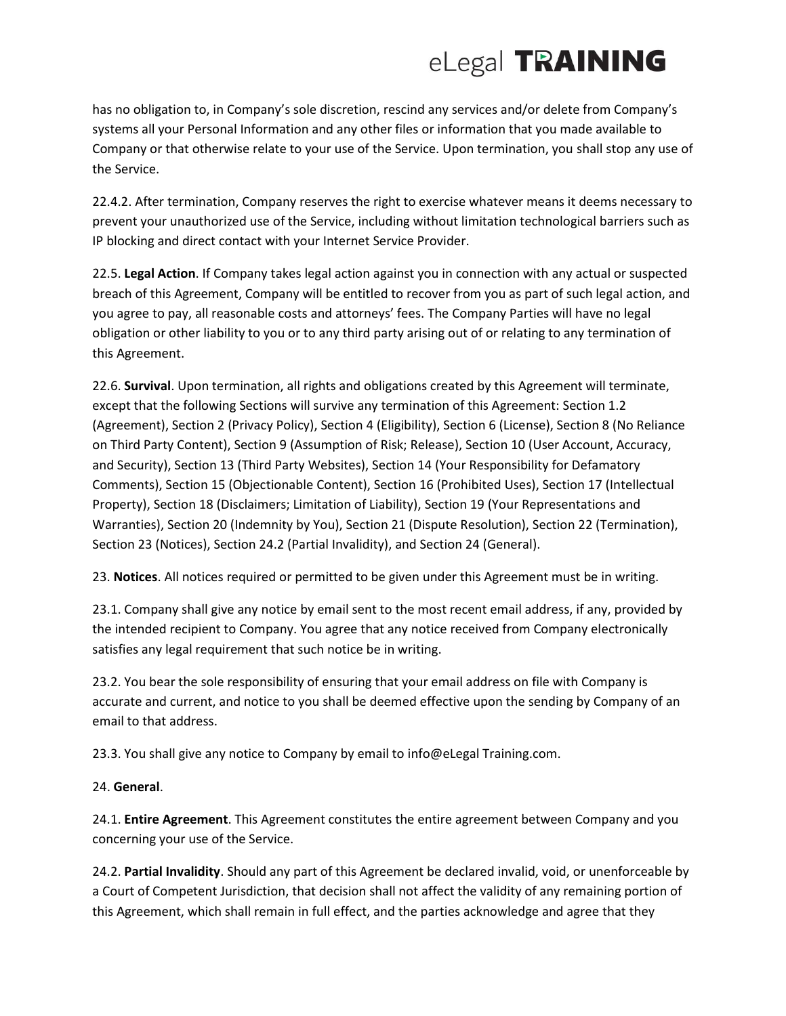has no obligation to, in Company's sole discretion, rescind any services and/or delete from Company's systems all your Personal Information and any other files or information that you made available to Company or that otherwise relate to your use of the Service. Upon termination, you shall stop any use of the Service.

22.4.2. After termination, Company reserves the right to exercise whatever means it deems necessary to prevent your unauthorized use of the Service, including without limitation technological barriers such as IP blocking and direct contact with your Internet Service Provider.

22.5. **Legal Action**. If Company takes legal action against you in connection with any actual or suspected breach of this Agreement, Company will be entitled to recover from you as part of such legal action, and you agree to pay, all reasonable costs and attorneys' fees. The Company Parties will have no legal obligation or other liability to you or to any third party arising out of or relating to any termination of this Agreement.

22.6. **Survival**. Upon termination, all rights and obligations created by this Agreement will terminate, except that the following Sections will survive any termination of this Agreement: Section 1.2 (Agreement), Section 2 (Privacy Policy), Section 4 (Eligibility), Section 6 (License), Section 8 (No Reliance on Third Party Content), Section 9 (Assumption of Risk; Release), Section 10 (User Account, Accuracy, and Security), Section 13 (Third Party Websites), Section 14 (Your Responsibility for Defamatory Comments), Section 15 (Objectionable Content), Section 16 (Prohibited Uses), Section 17 (Intellectual Property), Section 18 (Disclaimers; Limitation of Liability), Section 19 (Your Representations and Warranties), Section 20 (Indemnity by You), Section 21 (Dispute Resolution), Section 22 (Termination), Section 23 (Notices), Section 24.2 (Partial Invalidity), and Section 24 (General).

23. **Notices**. All notices required or permitted to be given under this Agreement must be in writing.

23.1. Company shall give any notice by email sent to the most recent email address, if any, provided by the intended recipient to Company. You agree that any notice received from Company electronically satisfies any legal requirement that such notice be in writing.

23.2. You bear the sole responsibility of ensuring that your email address on file with Company is accurate and current, and notice to you shall be deemed effective upon the sending by Company of an email to that address.

23.3. You shall give any notice to Company by email to info@eLegal Training.com.

## 24. **General**.

24.1. **Entire Agreement**. This Agreement constitutes the entire agreement between Company and you concerning your use of the Service.

24.2. **Partial Invalidity**. Should any part of this Agreement be declared invalid, void, or unenforceable by a Court of Competent Jurisdiction, that decision shall not affect the validity of any remaining portion of this Agreement, which shall remain in full effect, and the parties acknowledge and agree that they